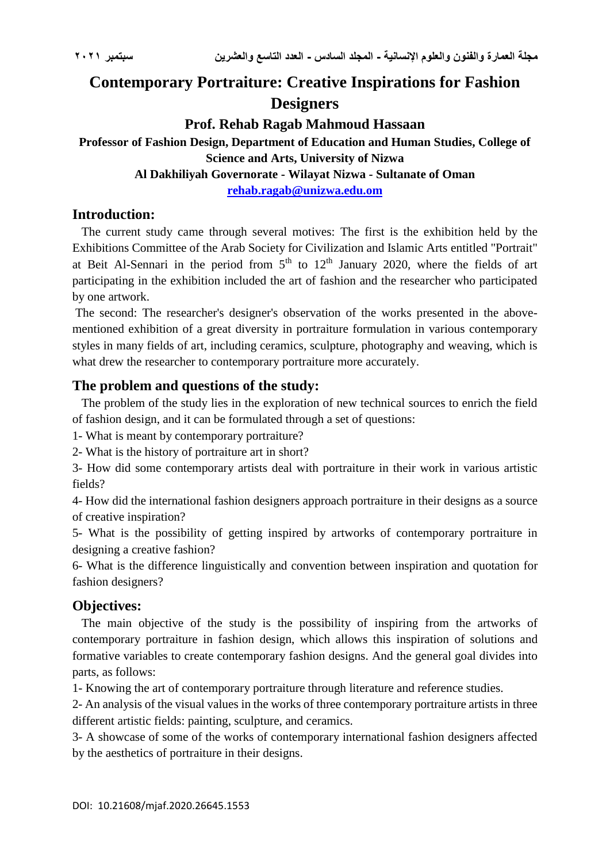# **Contemporary Portraiture: Creative Inspirations for Fashion Designers**

# **Prof. Rehab Ragab Mahmoud Hassaan**

# **Professor of Fashion Design, Department of Education and Human Studies, College of Science and Arts, University of Nizwa**

**Al Dakhiliyah Governorate - Wilayat Nizwa - Sultanate of Oman**

**[rehab.ragab@unizwa.edu.om](mailto:rehab.ragab@unizwa.edu.om)**

### **Introduction:**

 The current study came through several motives: The first is the exhibition held by the Exhibitions Committee of the Arab Society for Civilization and Islamic Arts entitled "Portrait" at Beit Al-Sennari in the period from  $5<sup>th</sup>$  to  $12<sup>th</sup>$  January 2020, where the fields of art participating in the exhibition included the art of fashion and the researcher who participated by one artwork.

The second: The researcher's designer's observation of the works presented in the abovementioned exhibition of a great diversity in portraiture formulation in various contemporary styles in many fields of art, including ceramics, sculpture, photography and weaving, which is what drew the researcher to contemporary portraiture more accurately.

# **The problem and questions of the study:**

 The problem of the study lies in the exploration of new technical sources to enrich the field of fashion design, and it can be formulated through a set of questions:

1- What is meant by contemporary portraiture?

2- What is the history of portraiture art in short?

3- How did some contemporary artists deal with portraiture in their work in various artistic fields?

4- How did the international fashion designers approach portraiture in their designs as a source of creative inspiration?

5- What is the possibility of getting inspired by artworks of contemporary portraiture in designing a creative fashion?

6- What is the difference linguistically and convention between inspiration and quotation for fashion designers?

# **Objectives:**

 The main objective of the study is the possibility of inspiring from the artworks of contemporary portraiture in fashion design, which allows this inspiration of solutions and formative variables to create contemporary fashion designs. And the general goal divides into parts, as follows:

1- Knowing the art of contemporary portraiture through literature and reference studies.

2- An analysis of the visual values in the works of three contemporary portraiture artists in three different artistic fields: painting, sculpture, and ceramics.

3- A showcase of some of the works of contemporary international fashion designers affected by the aesthetics of portraiture in their designs.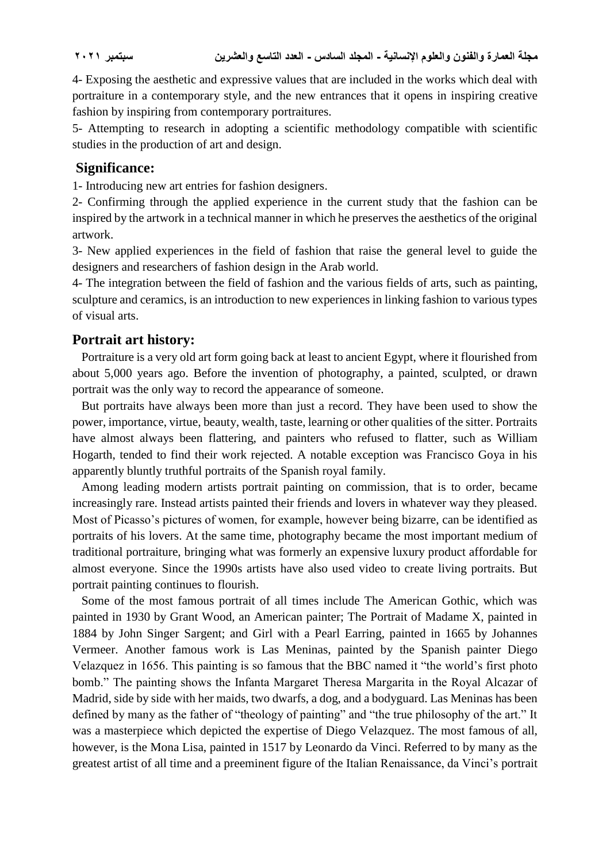4- Exposing the aesthetic and expressive values that are included in the works which deal with portraiture in a contemporary style, and the new entrances that it opens in inspiring creative fashion by inspiring from contemporary portraitures.

5- Attempting to research in adopting a scientific methodology compatible with scientific studies in the production of art and design.

### **Significance:**

1- Introducing new art entries for fashion designers.

2- Confirming through the applied experience in the current study that the fashion can be inspired by the artwork in a technical manner in which he preserves the aesthetics of the original artwork.

3- New applied experiences in the field of fashion that raise the general level to guide the designers and researchers of fashion design in the Arab world.

4- The integration between the field of fashion and the various fields of arts, such as painting, sculpture and ceramics, is an introduction to new experiences in linking fashion to various types of visual arts.

### **Portrait art history:**

 Portraiture is a very old art form going back at least to ancient Egypt, where it flourished from about 5,000 years ago. Before the invention of photography, a painted, sculpted, or drawn portrait was the only way to record the appearance of someone.

 But portraits have always been more than just a record. They have been used to show the power, importance, virtue, beauty, wealth, taste, learning or other qualities of the sitter. Portraits have almost always been flattering, and painters who refused to flatter, such as William Hogarth, tended to find their work rejected. A notable exception was Francisco Goya in his apparently bluntly truthful portraits of the Spanish royal family.

 Among leading modern artists portrait painting on commission, that is to order, became increasingly rare. Instead artists painted their friends and lovers in whatever way they pleased. Most of Picasso's pictures of women, for example, however being bizarre, can be identified as portraits of his lovers. At the same time, photography became the most important medium of traditional portraiture, bringing what was formerly an expensive luxury product affordable for almost everyone. Since the 1990s artists have also used video to create living portraits. But portrait painting continues to flourish.

 Some of the most famous portrait of all times include The American Gothic, which was painted in 1930 by Grant Wood, an American painter; The Portrait of Madame X, painted in 1884 by John Singer Sargent; and Girl with a Pearl Earring, painted in 1665 by Johannes Vermeer. Another famous work is Las Meninas, painted by the Spanish painter Diego Velazquez in 1656. This painting is so famous that the BBC named it "the world's first photo bomb." The painting shows the Infanta Margaret Theresa Margarita in the Royal Alcazar of Madrid, side by side with her maids, two dwarfs, a dog, and a bodyguard. Las Meninas has been defined by many as the father of "theology of painting" and "the true philosophy of the art." It was a masterpiece which depicted the expertise of Diego Velazquez. The most famous of all, however, is the Mona Lisa, painted in 1517 by Leonardo da Vinci. Referred to by many as the greatest artist of all time and a preeminent figure of the Italian Renaissance, da Vinci's portrait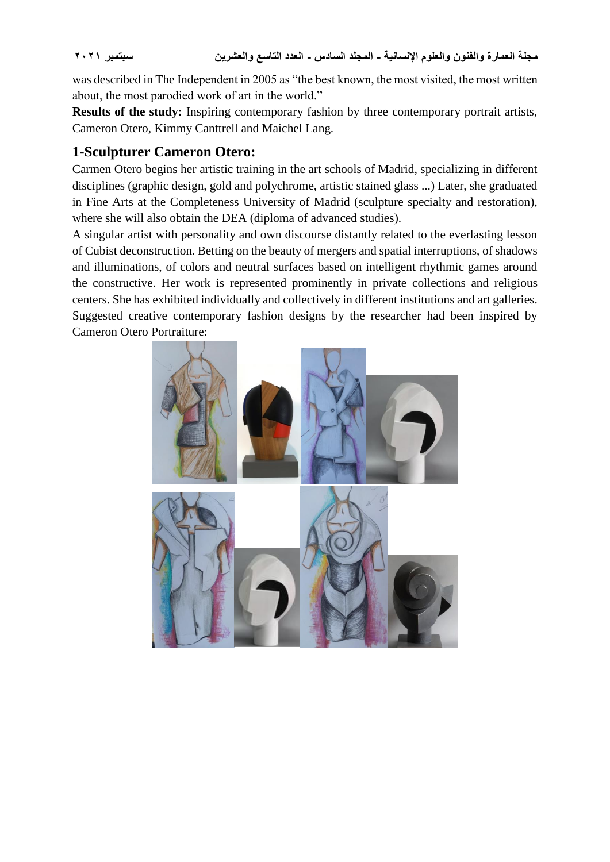was described in The Independent in 2005 as "the best known, the most visited, the most written about, the most parodied work of art in the world."

**Results of the study:** Inspiring contemporary fashion by three contemporary portrait artists, Cameron Otero, Kimmy Canttrell and Maichel Lang.

# **1-Sculpturer Cameron Otero:**

Carmen Otero begins her artistic training in the art schools of Madrid, specializing in different disciplines (graphic design, gold and polychrome, artistic stained glass ...) Later, she graduated in Fine Arts at the Completeness University of Madrid (sculpture specialty and restoration), where she will also obtain the DEA (diploma of advanced studies).

A singular artist with personality and own discourse distantly related to the everlasting lesson of Cubist deconstruction. Betting on the beauty of mergers and spatial interruptions, of shadows and illuminations, of colors and neutral surfaces based on intelligent rhythmic games around the constructive. Her work is represented prominently in private collections and religious centers. She has exhibited individually and collectively in different institutions and art galleries. Suggested creative contemporary fashion designs by the researcher had been inspired by Cameron Otero Portraiture:

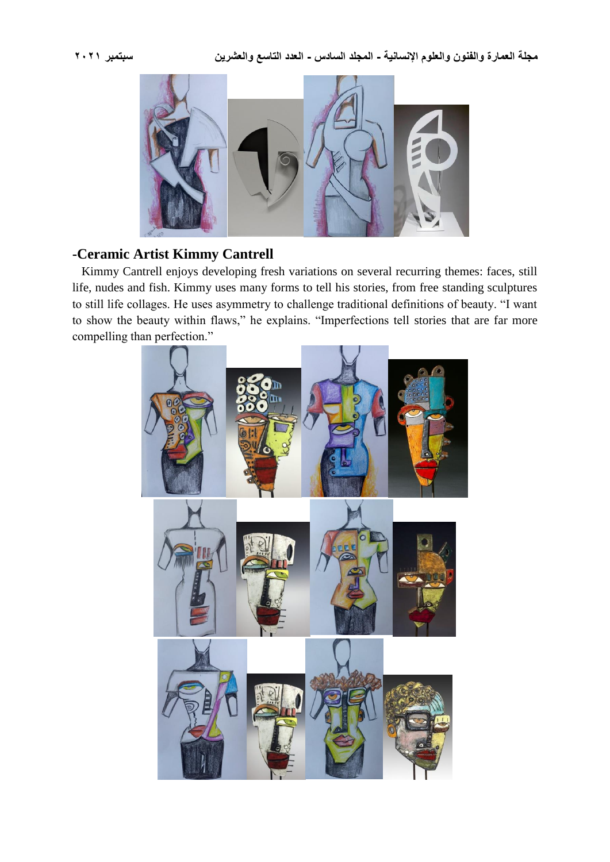

# **-Ceramic Artist Kimmy Cantrell**

 Kimmy Cantrell enjoys developing fresh variations on several recurring themes: faces, still life, nudes and fish. Kimmy uses many forms to tell his stories, from free standing sculptures to still life collages. He uses asymmetry to challenge traditional definitions of beauty. "I want to show the beauty within flaws," he explains. "Imperfections tell stories that are far more compelling than perfection."